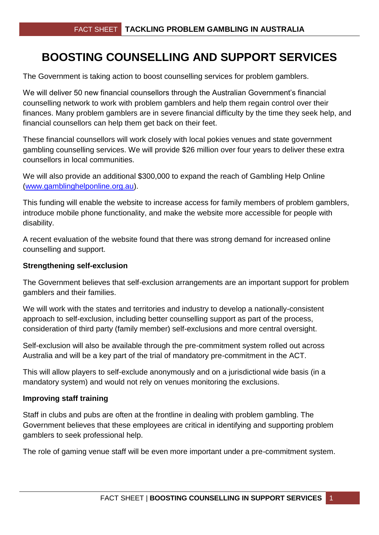## **BOOSTING COUNSELLING AND SUPPORT SERVICES**

The Government is taking action to boost counselling services for problem gamblers.

We will deliver 50 new financial counsellors through the Australian Government's financial counselling network to work with problem gamblers and help them regain control over their finances. Many problem gamblers are in severe financial difficulty by the time they seek help, and financial counsellors can help them get back on their feet.

These financial counsellors will work closely with local pokies venues and state government gambling counselling services. We will provide \$26 million over four years to deliver these extra counsellors in local communities.

We will also provide an additional \$300,000 to expand the reach of Gambling Help Online [\(www.gamblinghelponline.org.au\)](www.gamblinghelponline.org.au).

This funding will enable the website to increase access for family members of problem gamblers, introduce mobile phone functionality, and make the website more accessible for people with disability.

A recent evaluation of the website found that there was strong demand for increased online counselling and support.

## **Strengthening self-exclusion**

The Government believes that self-exclusion arrangements are an important support for problem gamblers and their families.

We will work with the states and territories and industry to develop a nationally-consistent approach to self-exclusion, including better counselling support as part of the process, consideration of third party (family member) self-exclusions and more central oversight.

Self-exclusion will also be available through the pre-commitment system rolled out across Australia and will be a key part of the trial of mandatory pre-commitment in the ACT.

This will allow players to self-exclude anonymously and on a jurisdictional wide basis (in a mandatory system) and would not rely on venues monitoring the exclusions.

## **Improving staff training**

Staff in clubs and pubs are often at the frontline in dealing with problem gambling. The Government believes that these employees are critical in identifying and supporting problem gamblers to seek professional help.

The role of gaming venue staff will be even more important under a pre-commitment system.